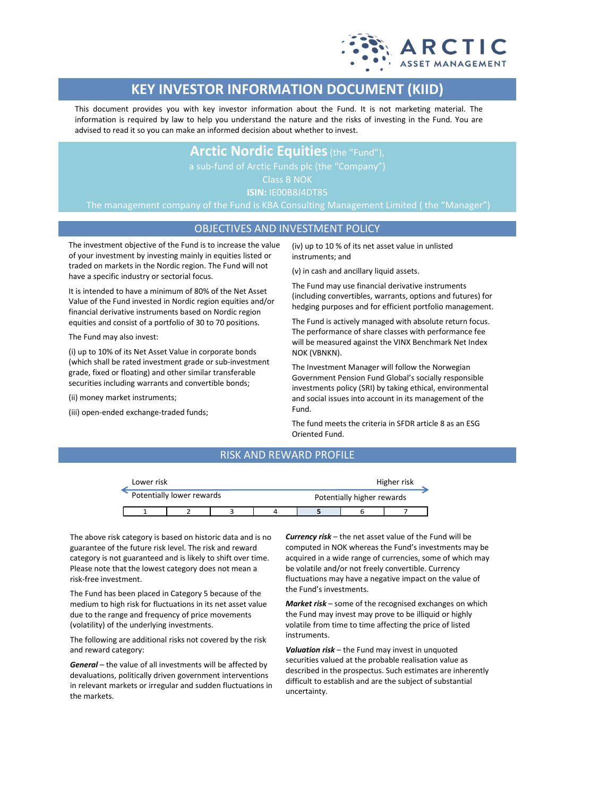

# **KEY INVESTOR INFORMATION DOCUMENT (KIID)**

This document provides you with key investor information about the Fund. It is not marketing material. The information is required by law to help you understand the nature and the risks of investing in the Fund. You are advised to read it so you can make an informed decision about whether to invest.

## **Arctic Nordic Equities**(the "Fund"),

Class B NOK

**ISIN:** IE00B8J4DT85

The management company of the Fund is KBA Consulting Management Limited ( the "Manager")

## OBJECTIVES AND INVESTMENT POLICY

The investment objective of the Fund is to increase the value of your investment by investing mainly in equities listed or traded on markets in the Nordic region. The Fund will not have a specific industry or sectorial focus.

It is intended to have a minimum of 80% of the Net Asset Value of the Fund invested in Nordic region equities and/or financial derivative instruments based on Nordic region equities and consist of a portfolio of 30 to 70 positions.

The Fund may also invest:

(i) up to 10% of its Net Asset Value in corporate bonds (which shall be rated investment grade or sub-investment grade, fixed or floating) and other similar transferable securities including warrants and convertible bonds;

(ii) money market instruments;

(iii) open-ended exchange-traded funds;

(iv) up to 10 % of its net asset value in unlisted instruments; and

(v) in cash and ancillary liquid assets.

The Fund may use financial derivative instruments (including convertibles, warrants, options and futures) for hedging purposes and for efficient portfolio management.

The Fund is actively managed with absolute return focus. The performance of share classes with performance fee will be measured against the VINX Benchmark Net Index NOK (VBNKN).

The Investment Manager will follow the Norwegian Government Pension Fund Global's socially responsible investments policy (SRI) by taking ethical, environmental and social issues into account in its management of the Fund.

The fund meets the criteria in SFDR article 8 as an ESG Oriented Fund.

## RISK AND REWARD PROFILE

| Lower risk |                           |  |  | Higher risk                |  |  |  |
|------------|---------------------------|--|--|----------------------------|--|--|--|
|            | Potentially lower rewards |  |  | Potentially higher rewards |  |  |  |
|            |                           |  |  |                            |  |  |  |

The above risk category is based on historic data and is no guarantee of the future risk level. The risk and reward category is not guaranteed and is likely to shift over time. Please note that the lowest category does not mean a risk-free investment.

The Fund has been placed in Category 5 because of the medium to high risk for fluctuations in its net asset value due to the range and frequency of price movements (volatility) of the underlying investments.

The following are additional risks not covered by the risk and reward category:

*General* – the value of all investments will be affected by devaluations, politically driven government interventions in relevant markets or irregular and sudden fluctuations in the markets.

*Currency risk* – the net asset value of the Fund will be computed in NOK whereas the Fund's investments may be acquired in a wide range of currencies, some of which may be volatile and/or not freely convertible. Currency fluctuations may have a negative impact on the value of the Fund's investments.

*Market risk* – some of the recognised exchanges on which the Fund may invest may prove to be illiquid or highly volatile from time to time affecting the price of listed instruments.

*Valuation risk* – the Fund may invest in unquoted securities valued at the probable realisation value as described in the prospectus. Such estimates are inherently difficult to establish and are the subject of substantial uncertainty.